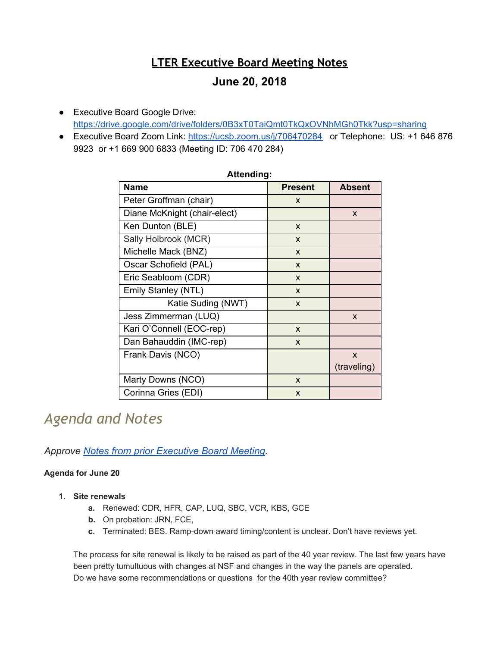# **LTER Executive Board Meeting Notes**

# **June 20, 2018**

- Executive Board Google Drive: <https://drive.google.com/drive/folders/0B3xT0TaiQmt0TkQxOVNhMGh0Tkk?usp=sharing>
- Executive Board Zoom Link: <https://ucsb.zoom.us/j/706470284> or Telephone: US: +1 646 876 9923 or +1 669 900 6833 (Meeting ID: 706 470 284)

| лшышту.<br><b>Name</b>       | <b>Present</b>            | <b>Absent</b>             |
|------------------------------|---------------------------|---------------------------|
| Peter Groffman (chair)       | X                         |                           |
| Diane McKnight (chair-elect) |                           | X                         |
| Ken Dunton (BLE)             | $\boldsymbol{\mathsf{X}}$ |                           |
| Sally Holbrook (MCR)         | X                         |                           |
| Michelle Mack (BNZ)          | X                         |                           |
| Oscar Schofield (PAL)        | X                         |                           |
| Eric Seabloom (CDR)          | X                         |                           |
| Emily Stanley (NTL)          | X                         |                           |
| Katie Suding (NWT)           | X                         |                           |
| Jess Zimmerman (LUQ)         |                           | X                         |
| Kari O'Connell (EOC-rep)     | X                         |                           |
| Dan Bahauddin (IMC-rep)      | X                         |                           |
| Frank Davis (NCO)            |                           | $\boldsymbol{\mathsf{X}}$ |
|                              |                           | (traveling)               |
| Marty Downs (NCO)            | X                         |                           |
| Corinna Gries (EDI)          | X                         |                           |

#### **Attending:**

# *Agenda and Notes*

## *Approve [Notes from prior Executive Board Meeting.](https://drive.google.com/open?id=1kwwgP7JXvOeDfxOIz3zH1JDJyBDf4U16aA_pAfSKUqo)*

#### **Agenda for June 20**

- **1. Site renewals**
	- **a.** Renewed: CDR, HFR, CAP, LUQ, SBC, VCR, KBS, GCE
	- **b.** On probation: JRN, FCE,
	- **c.** Terminated: BES. Ramp-down award timing/content is unclear. Don't have reviews yet.

The process for site renewal is likely to be raised as part of the 40 year review. The last few years have been pretty tumultuous with changes at NSF and changes in the way the panels are operated. Do we have some recommendations or questions for the 40th year review committee?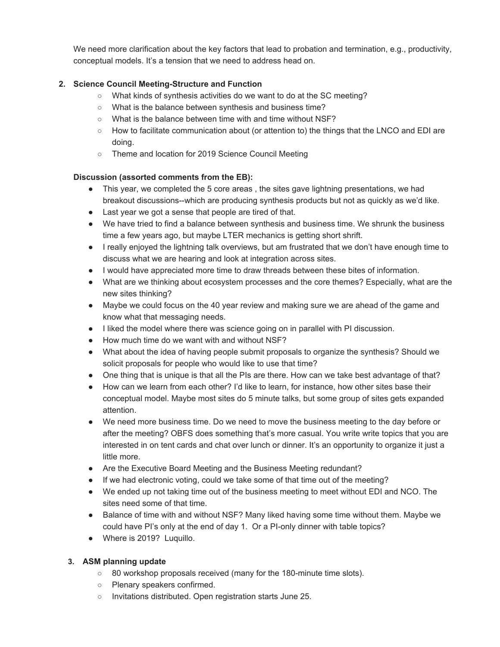We need more clarification about the key factors that lead to probation and termination, e.g., productivity, conceptual models. It's a tension that we need to address head on.

### **2. Science Council Meeting-Structure and Function**

- What kinds of synthesis activities do we want to do at the SC meeting?
- What is the balance between synthesis and business time?
- What is the balance between time with and time without NSF?
- How to facilitate communication about (or attention to) the things that the LNCO and EDI are doing.
- Theme and location for 2019 Science Council Meeting

## **Discussion (assorted comments from the EB):**

- This year, we completed the 5 core areas, the sites gave lightning presentations, we had breakout discussions--which are producing synthesis products but not as quickly as we'd like.
- Last year we got a sense that people are tired of that.
- We have tried to find a balance between synthesis and business time. We shrunk the business time a few years ago, but maybe LTER mechanics is getting short shrift.
- I really enjoyed the lightning talk overviews, but am frustrated that we don't have enough time to discuss what we are hearing and look at integration across sites.
- I would have appreciated more time to draw threads between these bites of information.
- What are we thinking about ecosystem processes and the core themes? Especially, what are the new sites thinking?
- Maybe we could focus on the 40 year review and making sure we are ahead of the game and know what that messaging needs.
- I liked the model where there was science going on in parallel with PI discussion.
- How much time do we want with and without NSF?
- What about the idea of having people submit proposals to organize the synthesis? Should we solicit proposals for people who would like to use that time?
- One thing that is unique is that all the PIs are there. How can we take best advantage of that?
- How can we learn from each other? I'd like to learn, for instance, how other sites base their conceptual model. Maybe most sites do 5 minute talks, but some group of sites gets expanded attention.
- We need more business time. Do we need to move the business meeting to the day before or after the meeting? OBFS does something that's more casual. You write write topics that you are interested in on tent cards and chat over lunch or dinner. It's an opportunity to organize it just a little more.
- Are the Executive Board Meeting and the Business Meeting redundant?
- If we had electronic voting, could we take some of that time out of the meeting?
- We ended up not taking time out of the business meeting to meet without EDI and NCO. The sites need some of that time.
- Balance of time with and without NSF? Many liked having some time without them. Maybe we could have PI's only at the end of day 1. Or a PI-only dinner with table topics?
- Where is 2019? Luquillo.

#### **3. ASM planning update**

- 80 workshop proposals received (many for the 180-minute time slots).
- Plenary speakers confirmed.
- Invitations distributed. Open registration starts June 25.